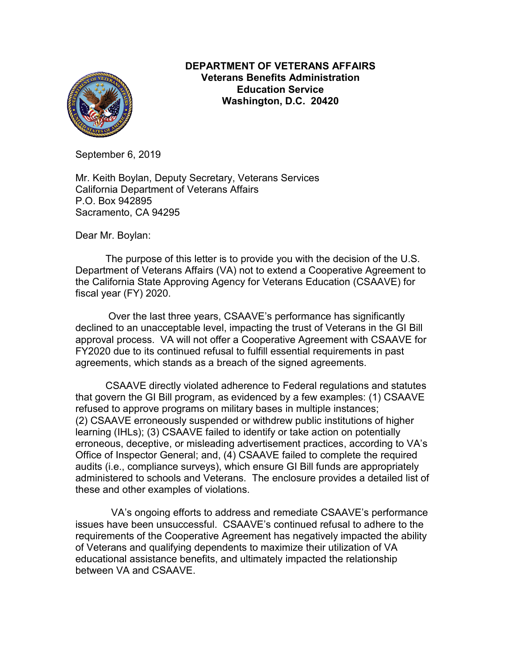

#### **DEPARTMENT OF VETERANS AFFAIRS Veterans Benefits Administration Education Service Washington, D.C. 20420**

September 6, 2019

Mr. Keith Boylan, Deputy Secretary, Veterans Services California Department of Veterans Affairs P.O. Box 942895 Sacramento, CA 94295

Dear Mr. Boylan:

The purpose of this letter is to provide you with the decision of the U.S. Department of Veterans Affairs (VA) not to extend a Cooperative Agreement to the California State Approving Agency for Veterans Education (CSAAVE) for fiscal year (FY) 2020.

Over the last three years, CSAAVE's performance has significantly declined to an unacceptable level, impacting the trust of Veterans in the GI Bill approval process. VA will not offer a Cooperative Agreement with CSAAVE for FY2020 due to its continued refusal to fulfill essential requirements in past agreements, which stands as a breach of the signed agreements.

CSAAVE directly violated adherence to Federal regulations and statutes that govern the GI Bill program, as evidenced by a few examples: (1) CSAAVE refused to approve programs on military bases in multiple instances; (2) CSAAVE erroneously suspended or withdrew public institutions of higher learning (IHLs); (3) CSAAVE failed to identify or take action on potentially erroneous, deceptive, or misleading advertisement practices, according to VA's Office of Inspector General; and, (4) CSAAVE failed to complete the required audits (i.e., compliance surveys), which ensure GI Bill funds are appropriately administered to schools and Veterans. The enclosure provides a detailed list of these and other examples of violations.

 VA's ongoing efforts to address and remediate CSAAVE's performance issues have been unsuccessful. CSAAVE's continued refusal to adhere to the requirements of the Cooperative Agreement has negatively impacted the ability of Veterans and qualifying dependents to maximize their utilization of VA educational assistance benefits, and ultimately impacted the relationship between VA and CSAAVE.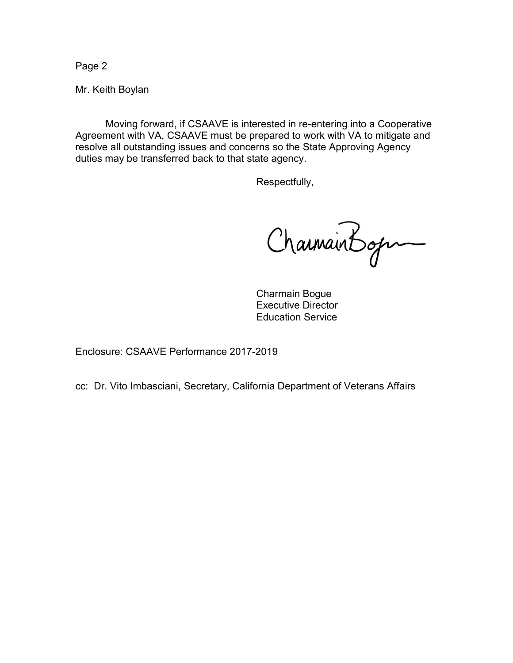Page 2

Mr. Keith Boylan

Moving forward, if CSAAVE is interested in re-entering into a Cooperative Agreement with VA, CSAAVE must be prepared to work with VA to mitigate and resolve all outstanding issues and concerns so the State Approving Agency duties may be transferred back to that state agency.

Respectfully,

CharmainBogn

Charmain Bogue Executive Director Education Service

Enclosure: CSAAVE Performance 2017-2019

cc: Dr. Vito Imbasciani, Secretary, California Department of Veterans Affairs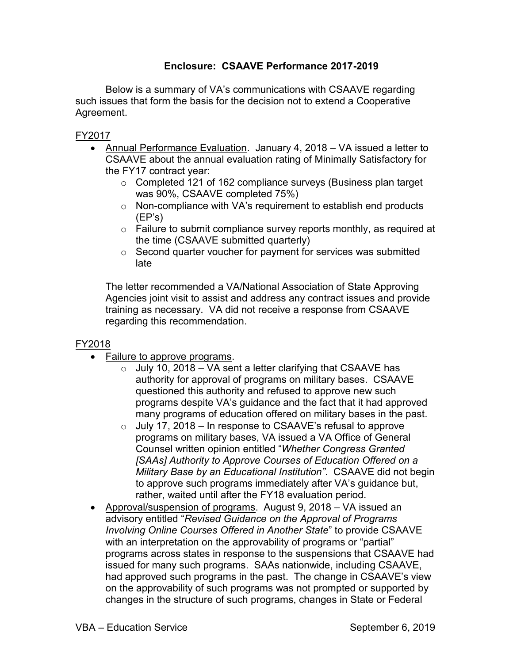# **Enclosure: CSAAVE Performance 2017-2019**

Below is a summary of VA's communications with CSAAVE regarding such issues that form the basis for the decision not to extend a Cooperative Agreement.

FY2017

- Annual Performance Evaluation. January 4, 2018 VA issued a letter to CSAAVE about the annual evaluation rating of Minimally Satisfactory for the FY17 contract year:
	- o Completed 121 of 162 compliance surveys (Business plan target was 90%, CSAAVE completed 75%)
	- o Non-compliance with VA's requirement to establish end products (EP's)
	- $\circ$  Failure to submit compliance survey reports monthly, as required at the time (CSAAVE submitted quarterly)
	- o Second quarter voucher for payment for services was submitted late

The letter recommended a VA/National Association of State Approving Agencies joint visit to assist and address any contract issues and provide training as necessary. VA did not receive a response from CSAAVE regarding this recommendation.

# FY2018

- Failure to approve programs.
	- $\circ$  July 10, 2018 VA sent a letter clarifying that CSAAVE has authority for approval of programs on military bases. CSAAVE questioned this authority and refused to approve new such programs despite VA's guidance and the fact that it had approved many programs of education offered on military bases in the past.
	- $\circ$  July 17, 2018 In response to CSAAVE's refusal to approve programs on military bases, VA issued a VA Office of General Counsel written opinion entitled "*Whether Congress Granted [SAAs] Authority to Approve Courses of Education Offered on a Military Base by an Educational Institution"*. CSAAVE did not begin to approve such programs immediately after VA's guidance but, rather, waited until after the FY18 evaluation period.
- Approval/suspension of programs. August 9, 2018 VA issued an advisory entitled "*Revised Guidance on the Approval of Programs Involving Online Courses Offered in Another State*" to provide CSAAVE with an interpretation on the approvability of programs or "partial" programs across states in response to the suspensions that CSAAVE had issued for many such programs. SAAs nationwide, including CSAAVE, had approved such programs in the past. The change in CSAAVE's view on the approvability of such programs was not prompted or supported by changes in the structure of such programs, changes in State or Federal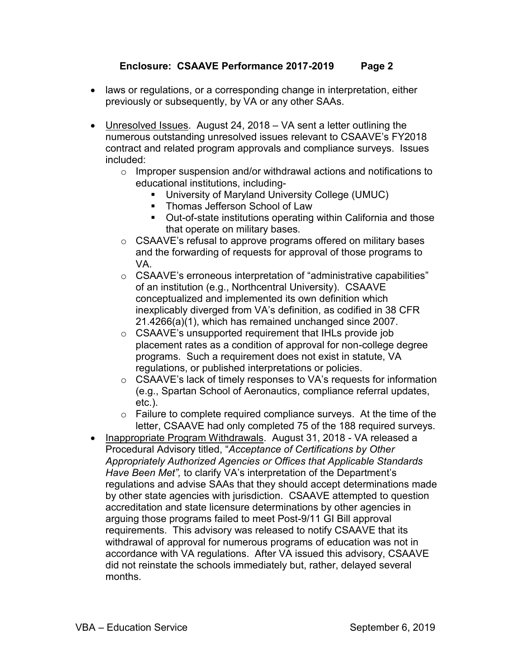### **Enclosure: CSAAVE Performance 2017-2019 Page 2**

- laws or regulations, or a corresponding change in interpretation, either previously or subsequently, by VA or any other SAAs.
- Unresolved Issues. August 24, 2018 VA sent a letter outlining the numerous outstanding unresolved issues relevant to CSAAVE's FY2018 contract and related program approvals and compliance surveys. Issues included:
	- o Improper suspension and/or withdrawal actions and notifications to educational institutions, including-
		- University of Maryland University College (UMUC)
		- **EXECT** Thomas Jefferson School of Law
		- Out-of-state institutions operating within California and those that operate on military bases.
	- o CSAAVE's refusal to approve programs offered on military bases and the forwarding of requests for approval of those programs to VA.
	- o CSAAVE's erroneous interpretation of "administrative capabilities" of an institution (e.g., Northcentral University). CSAAVE conceptualized and implemented its own definition which inexplicably diverged from VA's definition, as codified in 38 CFR 21.4266(a)(1), which has remained unchanged since 2007.
	- o CSAAVE's unsupported requirement that IHLs provide job placement rates as a condition of approval for non-college degree programs. Such a requirement does not exist in statute, VA regulations, or published interpretations or policies.
	- o CSAAVE's lack of timely responses to VA's requests for information (e.g., Spartan School of Aeronautics, compliance referral updates, etc.).
	- $\circ$  Failure to complete required compliance surveys. At the time of the letter, CSAAVE had only completed 75 of the 188 required surveys.
- Inappropriate Program Withdrawals. August 31, 2018 VA released a Procedural Advisory titled, "*Acceptance of Certifications by Other Appropriately Authorized Agencies or Offices that Applicable Standards Have Been Met",* to clarify VA's interpretation of the Department's regulations and advise SAAs that they should accept determinations made by other state agencies with jurisdiction. CSAAVE attempted to question accreditation and state licensure determinations by other agencies in arguing those programs failed to meet Post-9/11 GI Bill approval requirements. This advisory was released to notify CSAAVE that its withdrawal of approval for numerous programs of education was not in accordance with VA regulations. After VA issued this advisory, CSAAVE did not reinstate the schools immediately but, rather, delayed several months.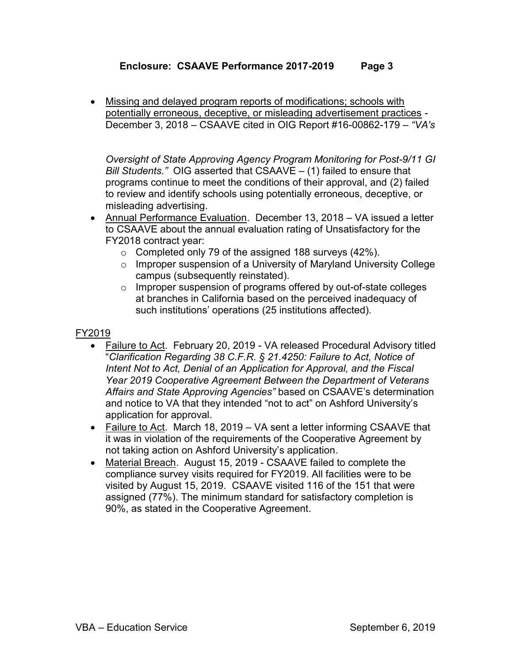# **Enclosure: CSAAVE Performance 2017-2019 Page 3**

• Missing and delayed program reports of modifications; schools with potentially erroneous, deceptive, or misleading advertisement practices - December 3, 2018 – CSAAVE cited in OIG Report #16-00862-179 – *"VA's* 

*Oversight of State Approving Agency Program Monitoring for Post-9/11 GI Bill Students."* OIG asserted that CSAAVE – (1) failed to ensure that programs continue to meet the conditions of their approval, and (2) failed to review and identify schools using potentially erroneous, deceptive, or misleading advertising.

- Annual Performance Evaluation. December 13, 2018 VA issued a letter to CSAAVE about the annual evaluation rating of Unsatisfactory for the FY2018 contract year:
	- $\circ$  Completed only 79 of the assigned 188 surveys (42%).
	- $\circ$  Improper suspension of a University of Maryland University College campus (subsequently reinstated).
	- o Improper suspension of programs offered by out-of-state colleges at branches in California based on the perceived inadequacy of such institutions' operations (25 institutions affected).

# FY2019

- Failure to Act. February 20, 2019 VA released Procedural Advisory titled "*Clarification Regarding 38 C.F.R. § 21.4250: Failure to Act, Notice of Intent Not to Act, Denial of an Application for Approval, and the Fiscal Year 2019 Cooperative Agreement Between the Department of Veterans Affairs and State Approving Agencies"* based on CSAAVE's determination and notice to VA that they intended "not to act" on Ashford University's application for approval.
- Failure to Act. March 18, 2019 VA sent a letter informing CSAAVE that it was in violation of the requirements of the Cooperative Agreement by not taking action on Ashford University's application.
- Material Breach. August 15, 2019 CSAAVE failed to complete the compliance survey visits required for FY2019. All facilities were to be visited by August 15, 2019. CSAAVE visited 116 of the 151 that were assigned (77%). The minimum standard for satisfactory completion is 90%, as stated in the Cooperative Agreement.